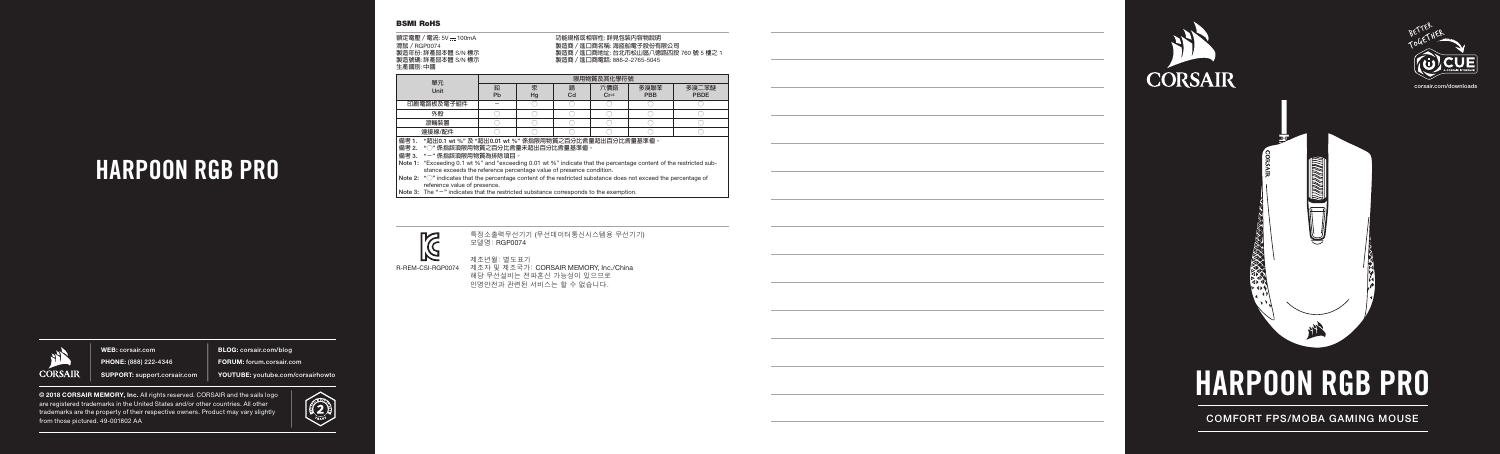corsair.com/downloads





COMFORT FPS/MOBA GAMING MOUSE

# HARPOON RGB PRO

WEB: corsair.com PHONE: (888) 222-4346 SUPPORT: support.corsair.com BLOG: corsair.com/blog

FORUM: forum.corsair.com YOUTUBE: youtube.com/corsairhowto

© 2018 CORSAIR MEMORY, Inc. All rights reserved. CORSAIR and the sails logo are registered trademarks in the United States and/or other countries. All other trademarks are the property of their respective owners. Product may vary slightly from those pictured. 49-001802 AA





## HARPOON RGB PRO



R-REM-CSI-RGP0074

특정소출력무선기기 (무선데이터통신시스템용 무선기기) 모델명: RGP0074



제조년월: 별도표기

제조자 및 제조국가: CORSAIR MEMORY, Inc./China 해당 무선설비는 전파혼신 가능성이 있으므로 인명안전과 관련된 서비스는 할 수 없습니다.

| 鉛<br>六價鉻<br>多溴聯苯<br>鍋<br>永<br>Unit<br>Cr <sup>6</sup><br>PBB<br>Pb<br>Hg<br>Cd<br>印刷電路板及電子組件<br>$\overline{\phantom{a}}$<br>外殻<br>滾輪裝置 | 單元     | 限用物管及其化學符號 |  |  |  |  |                      |  |  |
|----------------------------------------------------------------------------------------------------------------------------------------|--------|------------|--|--|--|--|----------------------|--|--|
|                                                                                                                                        |        |            |  |  |  |  | 多溴二苯醚<br><b>PBDE</b> |  |  |
|                                                                                                                                        |        |            |  |  |  |  |                      |  |  |
|                                                                                                                                        |        |            |  |  |  |  |                      |  |  |
|                                                                                                                                        |        |            |  |  |  |  |                      |  |  |
|                                                                                                                                        | 連接線/配件 |            |  |  |  |  |                      |  |  |

- **備考** 1. "**超出**0.1 wt %" **及** "**超出**0.01 wt %" **係指限用物質之百分比含量超出百分比含量基準值。**
- **備考** 2. "**○**" **係指該項限用物質之百分比含量未超出百分比含量基準值。**

**備考** 3. "**-**" **係指該項限用物質為排除項目。**

- Note 1: "Exceeding 0.1 wt %" and "exceeding 0.01 wt %" indicate that the percentage content of the restricted substance exceeds the reference percentage value of presence condition.
- Note 2: " $\degree$ " indicates that the percentage content of the restricted substance does not exceed the percentage of reference value of presence.
- Note 3: The "**-**" indicates that the restricted substance corresponds to the exemption.



| 額定電壓 / 電流: 5V <del></del> 100mA |  |
|---------------------------------|--|
| 滑鼠 / RGP0074                    |  |
| 製造年份:詳產品本體 S/N 標示               |  |
| 製造號碼: 詳產品本體 S/N 標示              |  |
| 牛產國別:中國                         |  |

**功能規格或相容性: 詳見包裝內容物說明 製造商/進口商名稱: 海盜船電子股份有限公司 製造商/進口商地址: 台北市松山區八德路四段** 760 **號** 5 **樓之** 1 **製造商/進口商電話:** 886-2-2765-5045

#### BSMI RoHS